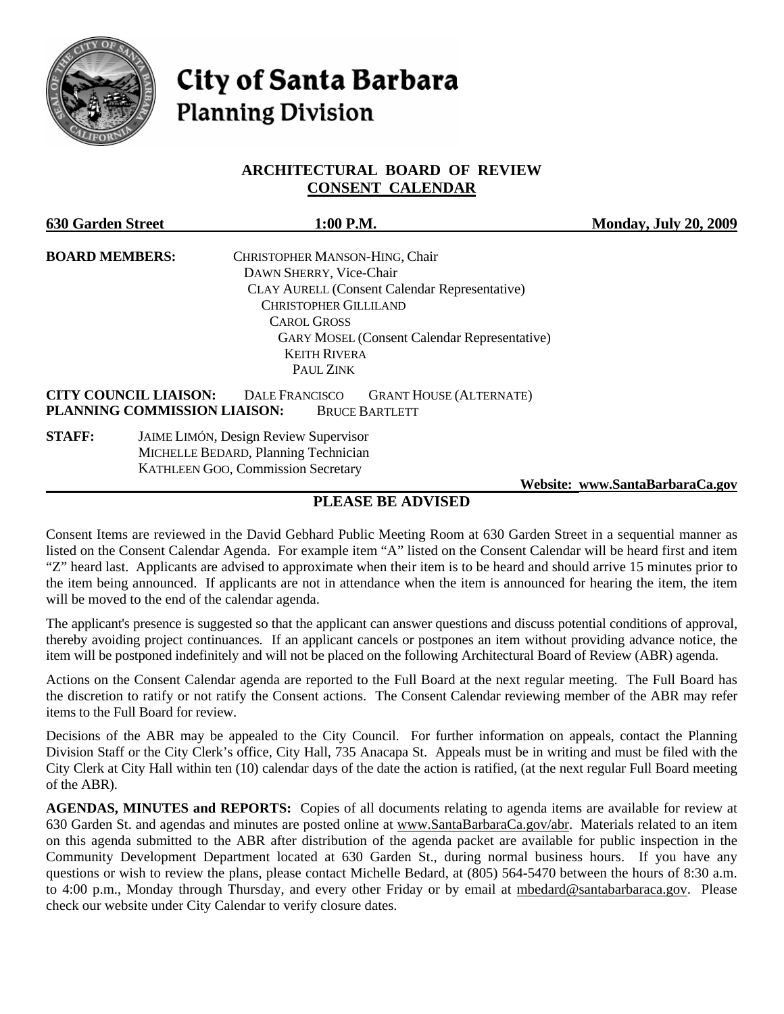

# **City of Santa Barbara Planning Division**

# **ARCHITECTURAL BOARD OF REVIEW CONSENT CALENDAR**

| <b>630 Garden Street</b>                                     | $1:00$ P.M.                                                                      | <b>Monday, July 20, 2009</b>    |
|--------------------------------------------------------------|----------------------------------------------------------------------------------|---------------------------------|
| <b>BOARD MEMBERS:</b>                                        | CHRISTOPHER MANSON-HING, Chair                                                   |                                 |
|                                                              | DAWN SHERRY, Vice-Chair                                                          |                                 |
|                                                              | <b>CLAY AURELL (Consent Calendar Representative)</b>                             |                                 |
|                                                              | <b>CHRISTOPHER GILLILAND</b>                                                     |                                 |
|                                                              | <b>CAROL GROSS</b>                                                               |                                 |
|                                                              | <b>GARY MOSEL (Consent Calendar Representative)</b><br><b>KEITH RIVERA</b>       |                                 |
|                                                              | PAUL ZINK                                                                        |                                 |
| <b>CITY COUNCIL LIAISON:</b><br>PLANNING COMMISSION LIAISON: | <b>DALE FRANCISCO</b><br><b>GRANT HOUSE (ALTERNATE)</b><br><b>BRUCE BARTLETT</b> |                                 |
| <b>STAFF:</b>                                                | <b>JAIME LIMÓN, Design Review Supervisor</b>                                     |                                 |
|                                                              | MICHELLE BEDARD, Planning Technician                                             |                                 |
|                                                              | <b>KATHLEEN GOO, Commission Secretary</b>                                        |                                 |
|                                                              |                                                                                  | Website: www.SantaBarbaraCa.gov |

# **PLEASE BE ADVISED**

Consent Items are reviewed in the David Gebhard Public Meeting Room at 630 Garden Street in a sequential manner as listed on the Consent Calendar Agenda. For example item "A" listed on the Consent Calendar will be heard first and item "Z" heard last. Applicants are advised to approximate when their item is to be heard and should arrive 15 minutes prior to the item being announced. If applicants are not in attendance when the item is announced for hearing the item, the item will be moved to the end of the calendar agenda.

The applicant's presence is suggested so that the applicant can answer questions and discuss potential conditions of approval, thereby avoiding project continuances. If an applicant cancels or postpones an item without providing advance notice, the item will be postponed indefinitely and will not be placed on the following Architectural Board of Review (ABR) agenda.

Actions on the Consent Calendar agenda are reported to the Full Board at the next regular meeting. The Full Board has the discretion to ratify or not ratify the Consent actions. The Consent Calendar reviewing member of the ABR may refer items to the Full Board for review.

Decisions of the ABR may be appealed to the City Council. For further information on appeals, contact the Planning Division Staff or the City Clerk's office, City Hall, 735 Anacapa St. Appeals must be in writing and must be filed with the City Clerk at City Hall within ten (10) calendar days of the date the action is ratified, (at the next regular Full Board meeting of the ABR).

**AGENDAS, MINUTES and REPORTS:** Copies of all documents relating to agenda items are available for review at 630 Garden St. and agendas and minutes are posted online at [www.SantaBarbaraCa.gov/abr.](http://www.santabarbaraca.gov/abr) Materials related to an item on this agenda submitted to the ABR after distribution of the agenda packet are available for public inspection in the Community Development Department located at 630 Garden St., during normal business hours. If you have any questions or wish to review the plans, please contact Michelle Bedard, at (805) 564-5470 between the hours of 8:30 a.m. to 4:00 p.m., Monday through Thursday, and every other Friday or by email at [mbedard@santabarbaraca.gov.](mailto:mbedard@santabarbaraca.gov) Please check our website under City Calendar to verify closure dates.